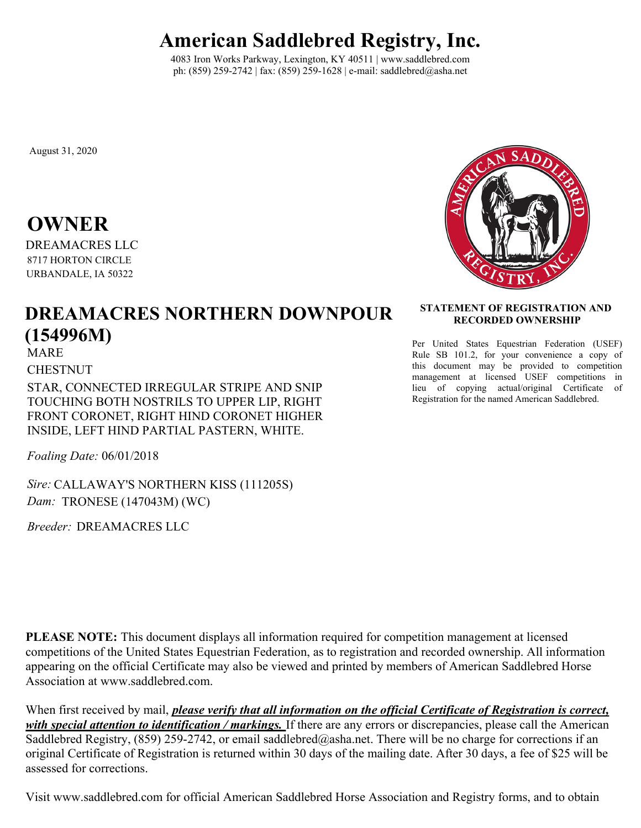## **American Saddlebred Registry, Inc.**

4083 Iron Works Parkway, Lexington, KY 40511 | www.saddlebred.com ph: (859) 259-2742 | fax: (859) 259-1628 | e-mail: saddlebred@asha.net

August 31, 2020

## **OWNER**

DREAMACRES LLC 8717 HORTON CIRCLE URBANDALE, IA 50322

## **DREAMACRES NORTHERN DOWNPOUR (154996M)**

MARE

CHESTNUT

STAR, CONNECTED IRREGULAR STRIPE AND SNIP TOUCHING BOTH NOSTRILS TO UPPER LIP, RIGHT FRONT CORONET, RIGHT HIND CORONET HIGHER INSIDE, LEFT HIND PARTIAL PASTERN, WHITE.

*Foaling Date:* 06/01/2018

*Sire:* CALLAWAY'S NORTHERN KISS (111205S) *Dam:* TRONESE (147043M) (WC)

*Breeder:* DREAMACRES LLC



## **STATEMENT OF REGISTRATION AND RECORDED OWNERSHIP**

Per United States Equestrian Federation (USEF) Rule SB 101.2, for your convenience a copy of this document may be provided to competition management at licensed USEF competitions in lieu of copying actual/original Certificate of Registration for the named American Saddlebred.

**PLEASE NOTE:** This document displays all information required for competition management at licensed competitions of the United States Equestrian Federation, as to registration and recorded ownership. All information appearing on the official Certificate may also be viewed and printed by members of American Saddlebred Horse Association at www.saddlebred.com.

When first received by mail, *please verify that all information on the official Certificate of Registration is correct, with special attention to identification / markings.* If there are any errors or discrepancies, please call the American Saddlebred Registry, (859) 259-2742, or email saddlebred@asha.net. There will be no charge for corrections if an original Certificate of Registration is returned within 30 days of the mailing date. After 30 days, a fee of \$25 will be assessed for corrections.

Visit www.saddlebred.com for official American Saddlebred Horse Association and Registry forms, and to obtain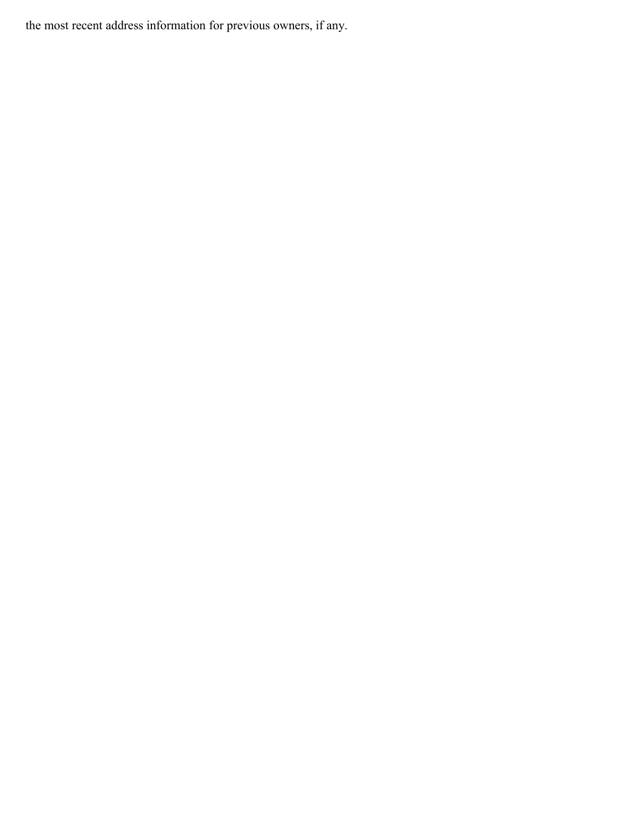the most recent address information for previous owners, if any.